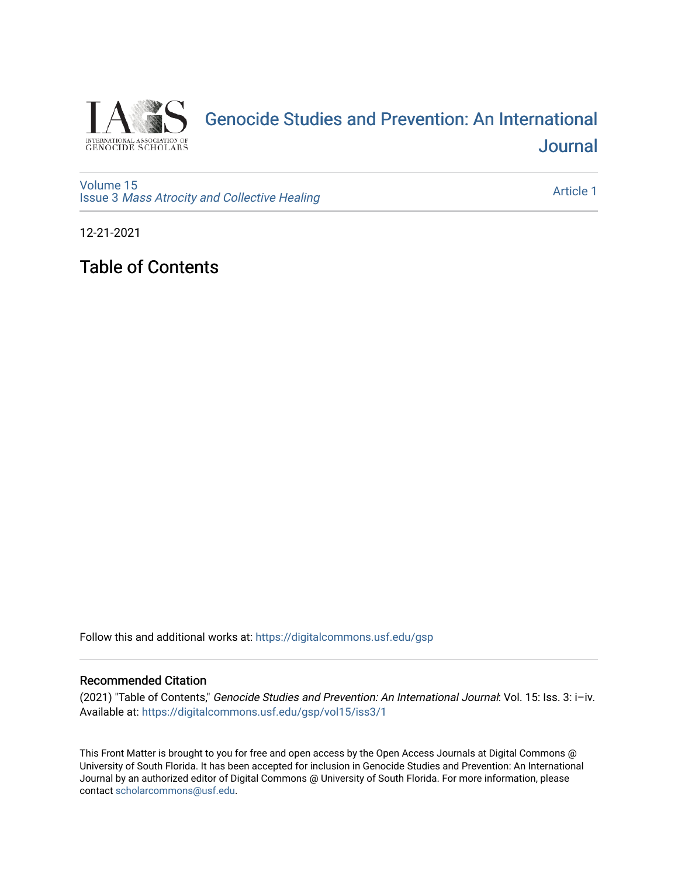

## [Genocide Studies and Prevention: An International](https://digitalcommons.usf.edu/gsp)  **Journal**

[Volume 15](https://digitalcommons.usf.edu/gsp/vol15) Issue 3 [Mass Atrocity and Collective Healing](https://digitalcommons.usf.edu/gsp/vol15/iss3) 

[Article 1](https://digitalcommons.usf.edu/gsp/vol15/iss3/1) 

12-21-2021

Table of Contents

Follow this and additional works at: [https://digitalcommons.usf.edu/gsp](https://digitalcommons.usf.edu/gsp?utm_source=digitalcommons.usf.edu%2Fgsp%2Fvol15%2Fiss3%2F1&utm_medium=PDF&utm_campaign=PDFCoverPages) 

#### Recommended Citation

(2021) "Table of Contents," Genocide Studies and Prevention: An International Journal: Vol. 15: Iss. 3: i–iv. Available at: [https://digitalcommons.usf.edu/gsp/vol15/iss3/1](https://digitalcommons.usf.edu/gsp/vol15/iss3/1?utm_source=digitalcommons.usf.edu%2Fgsp%2Fvol15%2Fiss3%2F1&utm_medium=PDF&utm_campaign=PDFCoverPages)

This Front Matter is brought to you for free and open access by the Open Access Journals at Digital Commons @ University of South Florida. It has been accepted for inclusion in Genocide Studies and Prevention: An International Journal by an authorized editor of Digital Commons @ University of South Florida. For more information, please contact [scholarcommons@usf.edu](mailto:scholarcommons@usf.edu).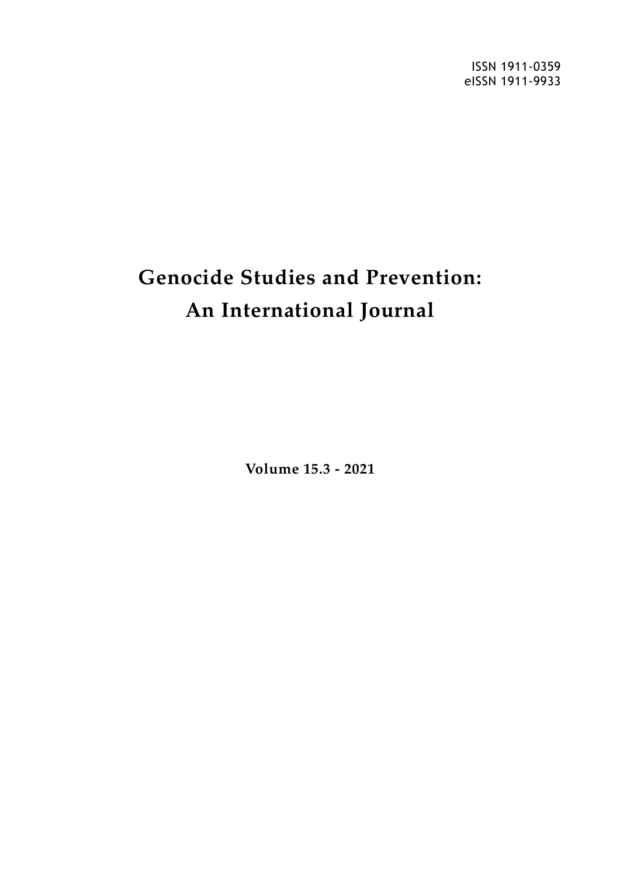ISSN 1911-0359 eISSN 1911-9933

# **Genocide Studies and Prevention: An International Journal**

**Volume 15.3 - 2021**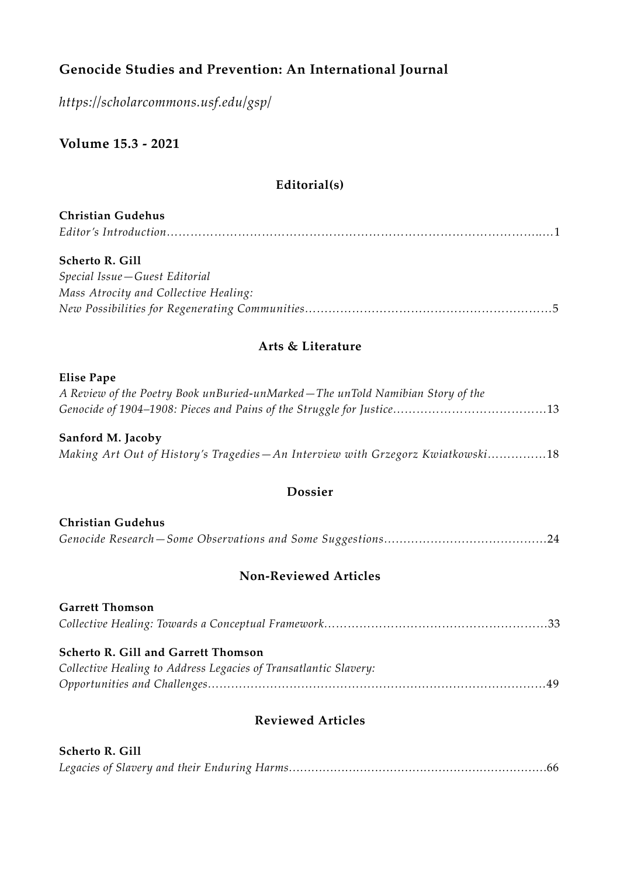## **Genocide Studies and Prevention: An International Journal**

*<https://scholarcommons.usf.edu/gsp/>*

**Volume 15.3 - 2021**

#### **Editorial(s)**

## **Christian Gudehus** *Editor's Introduction…………………………………………………………………………………..…*1

#### **Scherto R. Gill**

| Special Issue – Guest Editorial       |
|---------------------------------------|
| Mass Atrocity and Collective Healing: |
|                                       |

#### **Arts & Literature**

#### **Elise Pape**

| A Review of the Poetry Book unBuried-unMarked – The unTold Namibian Story of the |  |
|----------------------------------------------------------------------------------|--|
|                                                                                  |  |

#### **Sanford M. Jacoby** *Making Art Out of History's Tragedies—An Interview with Grzegorz Kwiatkowski……………*18

#### **Dossier**

| <b>Christian Gudehus</b> |  |  |
|--------------------------|--|--|
|                          |  |  |

#### **Non-Reviewed Articles**

| <b>Garrett Thomson</b>                                           |  |
|------------------------------------------------------------------|--|
|                                                                  |  |
|                                                                  |  |
| <b>Scherto R. Gill and Garrett Thomson</b>                       |  |
| Collective Healing to Address Legacies of Transatlantic Slavery: |  |
|                                                                  |  |

#### **Reviewed Articles**

| <b>Scherto R. Gill</b> |  |
|------------------------|--|
|                        |  |